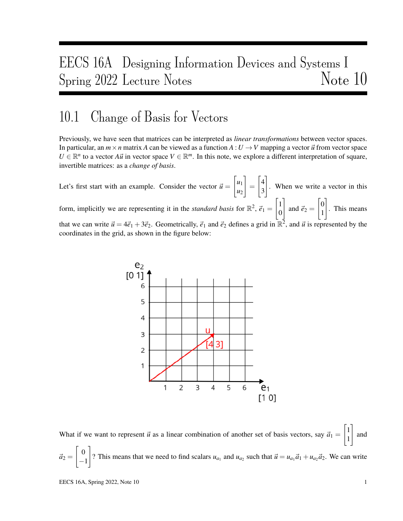# EECS 16A Designing Information Devices and Systems I Spring 2022 Lecture Notes Note 10

### 10.1 Change of Basis for Vectors

Previously, we have seen that matrices can be interpreted as *linear transformations* between vector spaces. In particular, an  $m \times n$  matrix *A* can be viewed as a function  $A: U \to V$  mapping a vector  $\vec{u}$  from vector space  $U \in \mathbb{R}^n$  to a vector *Au*<sup>*i*</sup> in vector space  $V \in \mathbb{R}^m$ . In this note, we explore a different interpretation of square, invertible matrices: as a *change of basis*.

Let's first start with an example. Consider the vector  $\vec{u} =$  $\lceil u_1 \rceil$ *u*2 1 =  $\lceil 4 \rceil$ 3 1 . When we write a vector in this form, implicitly we are representing it in the *standard basis* for  $\mathbb{R}^2$ ,  $\vec{e}_1$  =  $\lceil$  1 0 1 and  $\vec{e}_2 =$  $\lceil 0$ 1 1 . This means that we can write  $\vec{u} = 4\vec{e}_1 + 3\vec{e}_2$ . Geometrically,  $\vec{e}_1$  and  $\vec{e}_2$  defines a grid in  $\mathbb{R}^2$ , and  $\vec{u}$  is represented by the coordinates in the grid, as shown in the figure below:



What if we want to represent  $\vec{u}$  as a linear combination of another set of basis vectors, say  $\vec{a}_1$  =  $\lceil$  1 1 1 and  $\vec{a}_2 =$  $\lceil 0$ −1 1 ? This means that we need to find scalars  $u_{a_1}$  and  $u_{a_2}$  such that  $\vec{u} = u_{a_1} \vec{a}_1 + u_{a_2} \vec{a}_2$ . We can write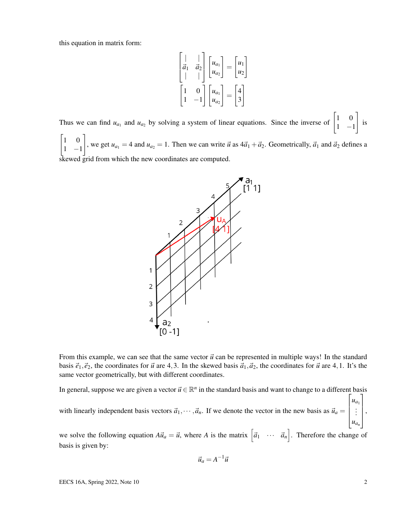this equation in matrix form:

$$
\begin{bmatrix} | & | \\ \vec{a}_1 & \vec{a}_2 \\ | & | \end{bmatrix} \begin{bmatrix} u_{a_1} \\ u_{a_2} \end{bmatrix} = \begin{bmatrix} u_1 \\ u_2 \end{bmatrix}
$$

$$
\begin{bmatrix} 1 & 0 \\ 1 & -1 \end{bmatrix} \begin{bmatrix} u_{a_1} \\ u_{a_2} \end{bmatrix} = \begin{bmatrix} 4 \\ 3 \end{bmatrix}
$$

Thus we can find  $u_{a_1}$  and  $u_{a_2}$  by solving a system of linear equations. Since the inverse of  $\begin{bmatrix} 1 & 0 \\ 1 & -1 \end{bmatrix}$ 1 −1 1 is  $\begin{bmatrix} 1 & 0 \end{bmatrix}$ 1 −1 1 , we get  $u_{a_1} = 4$  and  $u_{a_2} = 1$ . Then we can write  $\vec{u}$  as  $4\vec{a}_1 + \vec{a}_2$ . Geometrically,  $\vec{a}_1$  and  $\vec{a}_2$  defines a

skewed grid from which the new coordinates are computed.



From this example, we can see that the same vector  $\vec{u}$  can be represented in multiple ways! In the standard basis  $\vec{e}_1$ ,  $\vec{e}_2$ , the coordinates for  $\vec{u}$  are 4,3. In the skewed basis  $\vec{a}_1$ ,  $\vec{a}_2$ , the coordinates for  $\vec{u}$  are 4,1. It's the same vector geometrically, but with different coordinates.

In general, suppose we are given a vector  $\vec{u} \in \mathbb{R}^n$  in the standard basis and want to change to a different basis with linearly independent basis vectors  $\vec{a}_1, \dots, \vec{a}_n$ . If we denote the vector in the new basis as  $\vec{u}_a =$  $\sqrt{ }$   $u_{a_1}$ . . . *uan* 1  $\Bigg\}$ ,

we solve the following equation  $A\vec{u}_a = \vec{u}$ , where *A* is the matrix  $\begin{bmatrix} \vec{a}_1 & \cdots & \vec{a}_n \end{bmatrix}$ . Therefore the change of basis is given by:

$$
\vec{u}_a = A^{-1}\vec{u}
$$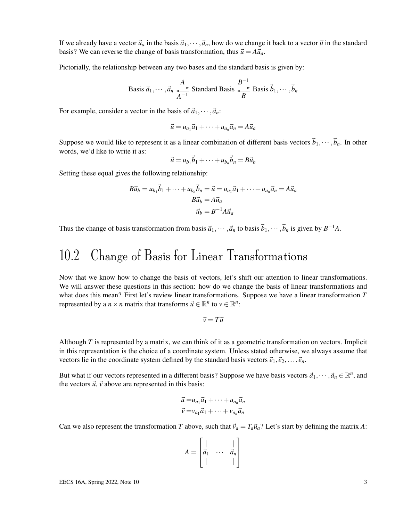If we already have a vector  $\vec{u}_a$  in the basis  $\vec{a}_1,\cdots,\vec{a}_n$ , how do we change it back to a vector  $\vec{u}$  in the standard basis? We can reverse the change of basis transformation, thus  $\vec{u} = A \vec{u}_a$ .

Pictorially, the relationship between any two bases and the standard basis is given by:

Basis 
$$
\vec{a}_1, \dots, \vec{a}_n \xrightarrow[A]{A}
$$
 Standard Basis  $\xrightarrow[B]{B^{-1}}$  Basis  $\vec{b}_1, \dots, \vec{b}_n$ 

For example, consider a vector in the basis of  $\vec{a}_1, \dots, \vec{a}_n$ :

$$
\vec{u} = u_{a_1}\vec{a}_1 + \cdots + u_{a_n}\vec{a}_n = A\vec{u}_a
$$

Suppose we would like to represent it as a linear combination of different basis vectors  $\vec{b}_1,\cdots,\vec{b}_n$ . In other words, we'd like to write it as:

$$
\vec{u} = u_{b_1}\vec{b}_1 + \cdots + u_{b_n}\vec{b}_n = B\vec{u}_b
$$

Setting these equal gives the following relationship:

$$
B\vec{u}_b = u_{b_1}\vec{b}_1 + \dots + u_{b_n}\vec{b}_n = \vec{u} = u_{a_1}\vec{a}_1 + \dots + u_{a_n}\vec{a}_n = A\vec{u}_a
$$
  

$$
B\vec{u}_b = A\vec{u}_a
$$
  

$$
\vec{u}_b = B^{-1}A\vec{u}_a
$$

Thus the change of basis transformation from basis  $\vec{a}_1,\dots,\vec{a}_n$  to basis  $\vec{b}_1,\dots,\vec{b}_n$  is given by  $B^{-1}A$ .

# 10.2 Change of Basis for Linear Transformations

Now that we know how to change the basis of vectors, let's shift our attention to linear transformations. We will answer these questions in this section: how do we change the basis of linear transformations and what does this mean? First let's review linear transformations. Suppose we have a linear transformation *T* represented by a  $n \times n$  matrix that transforms  $\vec{u} \in \mathbb{R}^n$  to  $v \in \mathbb{R}^n$ :

$$
\vec{v}=T\vec{u}
$$

Although *T* is represented by a matrix, we can think of it as a geometric transformation on vectors. Implicit in this representation is the choice of a coordinate system. Unless stated otherwise, we always assume that vectors lie in the coordinate system defined by the standard basis vectors  $\vec{e}_1, \vec{e}_2, \ldots, \vec{e}_n$ .

But what if our vectors represented in a different basis? Suppose we have basis vectors  $\vec{a}_1, \dots, \vec{a}_n \in \mathbb{R}^n$ , and the vectors  $\vec{u}$ ,  $\vec{v}$  above are represented in this basis:

$$
\vec{u} = u_{a_1}\vec{a}_1 + \dots + u_{a_n}\vec{a}_n
$$
  

$$
\vec{v} = v_{a_1}\vec{a}_1 + \dots + v_{a_n}\vec{a}_n
$$

Can we also represent the transformation *T* above, such that  $\vec{v}_a = T_a \vec{u}_a$ ? Let's start by defining the matrix *A*:

$$
A = \begin{bmatrix} | & & | \\ \vec{a}_1 & \cdots & \vec{a}_n \\ | & & | \end{bmatrix}
$$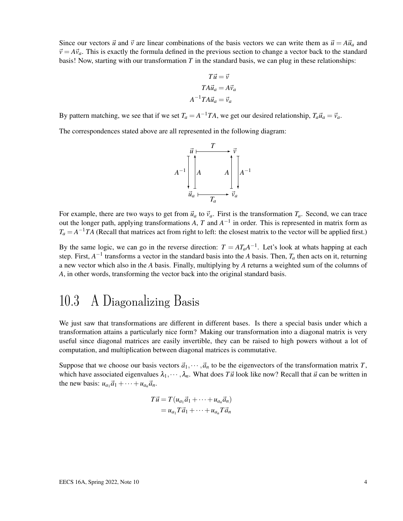Since our vectors  $\vec{u}$  and  $\vec{v}$  are linear combinations of the basis vectors we can write them as  $\vec{u} = A\vec{u}_a$  and  $\vec{v} = A\vec{v}_a$ . This is exactly the formula defined in the previous section to change a vector back to the standard basis! Now, starting with our transformation *T* in the standard basis, we can plug in these relationships:

$$
T\vec{u} = \vec{v}
$$

$$
TA\vec{u}_a = A\vec{v}_a
$$

$$
A^{-1}TA\vec{u}_a = \vec{v}_a
$$

By pattern matching, we see that if we set  $T_a = A^{-1}TA$ , we get our desired relationship,  $T_a\vec{u}_a = \vec{v}_a$ .

The correspondences stated above are all represented in the following diagram:



For example, there are two ways to get from  $\vec{u}_a$  to  $\vec{v}_a$ . First is the transformation  $T_a$ . Second, we can trace out the longer path, applying transformations  $A$ ,  $T$  and  $A^{-1}$  in order. This is represented in matrix form as  $T_a = A^{-1}TA$  (Recall that matrices act from right to left: the closest matrix to the vector will be applied first.)

By the same logic, we can go in the reverse direction:  $T = AT_aA^{-1}$ . Let's look at whats happing at each step. First,  $A^{-1}$  transforms a vector in the standard basis into the *A* basis. Then,  $T_a$  then acts on it, returning a new vector which also in the *A* basis. Finally, multiplying by *A* returns a weighted sum of the columns of *A*, in other words, transforming the vector back into the original standard basis.

# 10.3 A Diagonalizing Basis

We just saw that transformations are different in different bases. Is there a special basis under which a transformation attains a particularly nice form? Making our transformation into a diagonal matrix is very useful since diagonal matrices are easily invertible, they can be raised to high powers without a lot of computation, and multiplication between diagonal matrices is commutative.

Suppose that we choose our basis vectors  $\vec{a}_1, \dots, \vec{a}_n$  to be the eigenvectors of the transformation matrix *T*, which have associated eigenvalues  $\lambda_1, \dots, \lambda_n$ . What does *T* $\vec{u}$  look like now? Recall that  $\vec{u}$  can be written in the new basis:  $u_{a_1}\vec{a}_1 + \cdots + u_{a_n}\vec{a}_n$ .

$$
T\vec{u} = T(u_{a_1}\vec{a}_1 + \dots + u_{a_n}\vec{a}_n)
$$
  
=  $u_{a_1}T\vec{a}_1 + \dots + u_{a_n}T\vec{a}_n$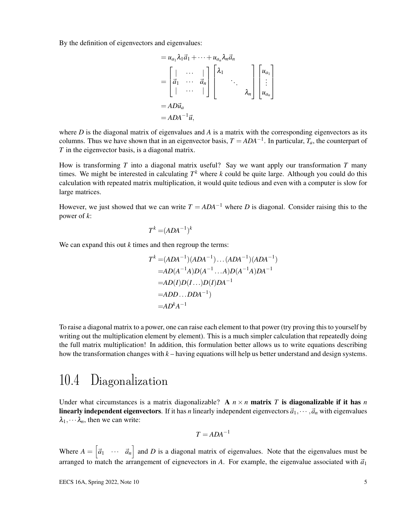By the definition of eigenvectors and eigenvalues:

$$
= u_{a_1} \lambda_1 \vec{a}_1 + \cdots + u_{a_n} \lambda_n \vec{a}_n
$$
  
\n
$$
= \begin{bmatrix} | & \cdots & | \\ \vec{a}_1 & \cdots & \vec{a}_n \\ | & \cdots & | \end{bmatrix} \begin{bmatrix} \lambda_1 \\ \ddots \\ \vdots \\ \lambda_n \end{bmatrix} \begin{bmatrix} u_{a_1} \\ \vdots \\ u_{a_n} \end{bmatrix}
$$
  
\n
$$
= AD\vec{u}_a
$$
  
\n
$$
= ADA^{-1}\vec{u},
$$

where *D* is the diagonal matrix of eigenvalues and *A* is a matrix with the corresponding eigenvectors as its columns. Thus we have shown that in an eigenvector basis,  $T = ADA^{-1}$ . In particular,  $T_a$ , the counterpart of *T* in the eigenvector basis, is a diagonal matrix.

How is transforming *T* into a diagonal matrix useful? Say we want apply our transformation *T* many times. We might be interested in calculating  $T<sup>k</sup>$  where  $k$  could be quite large. Although you could do this calculation with repeated matrix multiplication, it would quite tedious and even with a computer is slow for large matrices.

However, we just showed that we can write  $T = ADA^{-1}$  where *D* is diagonal. Consider raising this to the power of *k*:

$$
T^k = (ADA^{-1})^k
$$

We can expand this out *k* times and then regroup the terms:

$$
T^{k} = (ADA^{-1})(ADA^{-1}) \dots (ADA^{-1})(ADA^{-1})
$$
  
=  $AD(A^{-1}A)D(A^{-1} \dots A)D(A^{-1}A)DA^{-1}$   
=  $AD(I)D(I \dots)D(I)DA^{-1}$   
=  $ADD \dots DDA^{-1}$   
=  $AD^{k}A^{-1}$ 

To raise a diagonal matrix to a power, one can raise each element to that power (try proving this to yourself by writing out the multiplication element by element). This is a much simpler calculation that repeatedly doing the full matrix multiplication! In addition, this formulation better allows us to write equations describing how the transformation changes with *k* – having equations will help us better understand and design systems.

#### 10.4 Diagonalization

Under what circumstances is a matrix diagonalizable? A  $n \times n$  matrix T is diagonalizable if it has n linearly independent eigenvectors. If it has *n* linearly independent eigenvectors  $\vec{a}_1,\cdots,\vec{a}_n$  with eigenvalues  $\lambda_1, \cdots, \lambda_n$ , then we can write:

$$
T = ADA^{-1}
$$

Where  $A = \begin{bmatrix} \vec{a}_1 & \cdots & \vec{a}_n \end{bmatrix}$  and *D* is a diagonal matrix of eigenvalues. Note that the eigenvalues must be arranged to match the arrangement of eignevectors in  $A$ . For example, the eigenvalue associated with  $\vec{a}_1$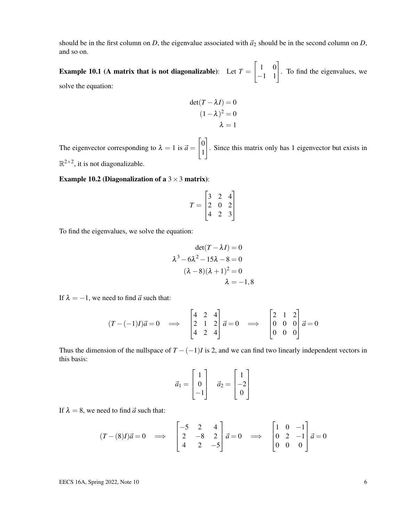should be in the first column on *D*, the eigenvalue associated with  $\vec{a}_2$  should be in the second column on *D*, and so on.

**Example 10.1** (A matrix that is not diagonalizable): Let  $T =$  $\begin{bmatrix} 1 & 0 \\ -1 & 1 \end{bmatrix}$ . To find the eigenvalues, we solve the equation:

$$
det(T - \lambda I) = 0
$$

$$
(1 - \lambda)^2 = 0
$$

$$
\lambda = 1
$$

The eigenvector corresponding to  $\lambda = 1$  is  $\vec{a} =$  $\lceil 0$ 1 1 . Since this matrix only has 1 eigenvector but exists in  $\mathbb{R}^{2\times 2}$ , it is not diagonalizable.

Example 10.2 (Diagonalization of a  $3 \times 3$  matrix):

$$
T = \begin{bmatrix} 3 & 2 & 4 \\ 2 & 0 & 2 \\ 4 & 2 & 3 \end{bmatrix}
$$

To find the eigenvalues, we solve the equation:

$$
\det(T - \lambda I) = 0
$$

$$
\lambda^3 - 6\lambda^2 - 15\lambda - 8 = 0
$$

$$
(\lambda - 8)(\lambda + 1)^2 = 0
$$

$$
\lambda = -1, 8
$$

If  $\lambda = -1$ , we need to find  $\vec{a}$  such that:

$$
(T - (-1)I)\vec{a} = 0 \implies \begin{bmatrix} 4 & 2 & 4 \\ 2 & 1 & 2 \\ 4 & 2 & 4 \end{bmatrix} \vec{a} = 0 \implies \begin{bmatrix} 2 & 1 & 2 \\ 0 & 0 & 0 \\ 0 & 0 & 0 \end{bmatrix} \vec{a} = 0
$$

Thus the dimension of the nullspace of  $T - (-1)I$  is 2, and we can find two linearly independent vectors in this basis:

$$
\vec{a}_1 = \begin{bmatrix} 1 \\ 0 \\ -1 \end{bmatrix} \quad \vec{a}_2 = \begin{bmatrix} 1 \\ -2 \\ 0 \end{bmatrix}
$$

If  $\lambda = 8$ , we need to find  $\vec{a}$  such that:

$$
(T - (8)I)\vec{a} = 0 \implies \begin{bmatrix} -5 & 2 & 4 \\ 2 & -8 & 2 \\ 4 & 2 & -5 \end{bmatrix} \vec{a} = 0 \implies \begin{bmatrix} 1 & 0 & -1 \\ 0 & 2 & -1 \\ 0 & 0 & 0 \end{bmatrix} \vec{a} = 0
$$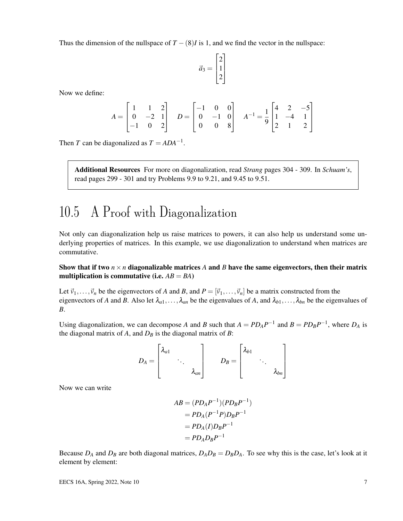Thus the dimension of the nullspace of  $T - (8)I$  is 1, and we find the vector in the nullspace:

$$
\vec{a}_3 = \begin{bmatrix} 2 \\ 1 \\ 2 \end{bmatrix}
$$

Now we define:

$$
A = \begin{bmatrix} 1 & 1 & 2 \\ 0 & -2 & 1 \\ -1 & 0 & 2 \end{bmatrix} \quad D = \begin{bmatrix} -1 & 0 & 0 \\ 0 & -1 & 0 \\ 0 & 0 & 8 \end{bmatrix} \quad A^{-1} = \frac{1}{9} \begin{bmatrix} 4 & 2 & -5 \\ 1 & -4 & 1 \\ 2 & 1 & 2 \end{bmatrix}
$$

Then *T* can be diagonalized as  $T = ADA^{-1}$ .

Additional Resources For more on diagonalization, read *Strang* pages 304 - 309. In *Schuam's*, read pages 299 - 301 and try Problems 9.9 to 9.21, and 9.45 to 9.51.

# 10.5 A Proof with Diagonalization

Not only can diagonalization help us raise matrices to powers, it can also help us understand some underlying properties of matrices. In this example, we use diagonalization to understand when matrices are commutative.

#### Show that if two  $n \times n$  diagonalizable matrices A and B have the same eigenvectors, then their matrix multiplication is commutative (i.e.  $AB = BA$ )

Let  $\vec{v}_1,\ldots,\vec{v}_n$  be the eigenvectors of *A* and *B*, and  $P = [\vec{v}_1,\ldots,\vec{v}_n]$  be a matrix constructed from the eigenvectors of *A* and *B*. Also let  $\lambda_{a1}, \ldots, \lambda_{an}$  be the eigenvalues of *A*, and  $\lambda_{b1}, \ldots, \lambda_{bn}$  be the eigenvalues of *B*.

Using diagonalization, we can decompose *A* and *B* such that  $A = PD_AP^{-1}$  and  $B = PD_BP^{-1}$ , where  $D_A$  is the diagonal matrix of  $A$ , and  $D_B$  is the diagonal matrix of  $B$ :

$$
D_A = \begin{bmatrix} \lambda_{a1} & & \\ & \ddots & \\ & & \lambda_{an} \end{bmatrix} \qquad D_B = \begin{bmatrix} \lambda_{b1} & & \\ & \ddots & \\ & & \lambda_{bn} \end{bmatrix}
$$

Now we can write

$$
AB = (PD_A P^{-1})(PD_B P^{-1})
$$
  
=  $PD_A(P^{-1}P)D_B P^{-1}$   
=  $PD_A(I)D_B P^{-1}$   
=  $PD_A D_B P^{-1}$ 

Because  $D_A$  and  $D_B$  are both diagonal matrices,  $D_A D_B = D_B D_A$ . To see why this is the case, let's look at it element by element: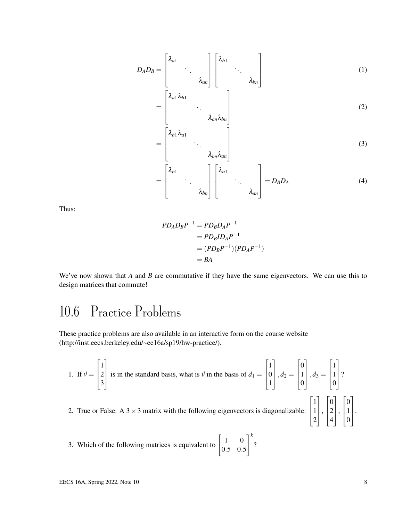$$
D_A D_B = \begin{bmatrix} \lambda_{a1} & & \\ & \ddots & \\ & & \lambda_{an} \end{bmatrix} \begin{bmatrix} \lambda_{b1} & & \\ & \ddots & \\ & & \lambda_{bn} \end{bmatrix}
$$
 (1)

$$
\ddots \lambda_{an} \lambda_{bn}
$$
 (2)

$$
=\begin{bmatrix}\lambda_{b1}\lambda_{a1} & & \\ & \ddots & \\ & & \lambda_{bn}\lambda_{an}\end{bmatrix} \tag{3}
$$

$$
= \begin{bmatrix} \lambda_{b1} & \cdots & \cdots \end{bmatrix} \begin{bmatrix} \lambda_{a1} & \cdots & \cdots \\ \ddots & \ddots & \ddots \\ \ddots & \lambda_{bn} \end{bmatrix} = D_B D_A \tag{4}
$$

Thus:

$$
PD_A D_B P^{-1} = PD_B D_A P^{-1}
$$
  
=  $PD_B ID_A P^{-1}$   
=  $(PD_B P^{-1})(PD_A P^{-1})$   
= BA

We've now shown that *A* and *B* are commutative if they have the same eigenvectors. We can use this to design matrices that commute!

# 10.6 Practice Problems

These practice problems are also available in an interactive form on the course website (http://inst.eecs.berkeley.edu/~ee16a/sp19/hw-practice/).

=

 $\mathbf{r}$ 

1. If 
$$
\vec{v} = \begin{bmatrix} 1 \\ 2 \\ 3 \end{bmatrix}
$$
 is in the standard basis, what is  $\vec{v}$  in the basis of  $\vec{a}_1 = \begin{bmatrix} 1 \\ 0 \\ 1 \end{bmatrix}$ ,  $\vec{a}_2 = \begin{bmatrix} 0 \\ 1 \\ 0 \end{bmatrix}$ ,  $\vec{a}_3 = \begin{bmatrix} 1 \\ 1 \\ 0 \end{bmatrix}$ ?

- 2. True or False:  $A$  3  $\times$  3 matrix with the following eigenvectors is diagonalizable:
- 3. Which of the following matrices is equivalent to  $\begin{bmatrix} 1 & 0 \\ 0 & 5 & 0 \end{bmatrix}$ 0.5 0.5  $\overline{1}^k$ ?

 $\sqrt{ }$ 

1

 $\sqrt{ }$ 

1

 $\sqrt{ }$ 

1

 $\vert \cdot$ 

 $\vert$ 0 1  $\boldsymbol{0}$ 

 $\vert \cdot$ 

 $\vert \cdot$